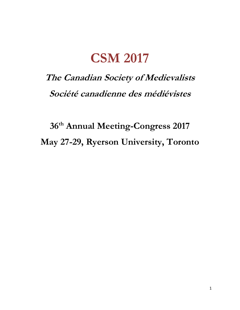## **CSM 2017**

## **The Canadian Society of Medievalists Société canadienne des médiévistes**

**36th Annual Meeting-Congress 2017 May 27-29, Ryerson University, Toronto**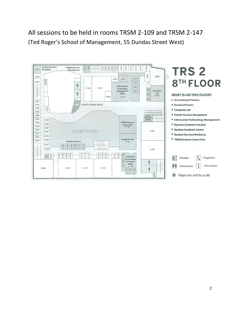All sessions to be held in rooms TRSM 2-109 and TRSM 2-147 (Ted Roger's School of Management, 55 Dundas Street West)

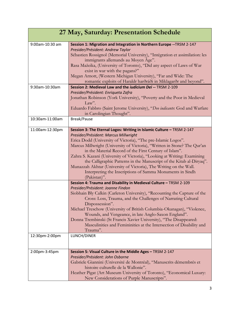| 27 May, Saturday: Presentation Schedule |                                                                                                                                                                                                                                                                                                                                                                                                                                                                                                                                                                                                                               |
|-----------------------------------------|-------------------------------------------------------------------------------------------------------------------------------------------------------------------------------------------------------------------------------------------------------------------------------------------------------------------------------------------------------------------------------------------------------------------------------------------------------------------------------------------------------------------------------------------------------------------------------------------------------------------------------|
| 9:00am-10:30 am                         | Session 1: Migration and Integration in Northern Europe -- TRSM 2-147<br>Presider/Président: Andrew Taylor<br>Sébastien Rossignol (Memorial University), "Intégration et assimilation: les<br>immigrants allemands au Moyen Âge".<br>Rasa Mažeika, (University of Toronto), "Did any aspect of Laws of War<br>exist in war with the pagans?"<br>Megan Arnott, (Western Michigan University), "Far and Wide: The<br>romantic exploits of Haraldr harðráði in Miklagarðr and beyond".                                                                                                                                           |
| 9:30am-10:30am                          | Session 2: Medieval Law and the <i>iudicium Dei --</i> TRSM 2-109<br>Presider/Président: Enriqueta Zafra<br>Jonathan Robinson (York University), "Poverty and the Poor in Medieval<br>Law".<br>Eduardo Fabbro (Saint Jerome University), "Deo indicante: God and Warfare<br>in Carolingian Thought".                                                                                                                                                                                                                                                                                                                          |
| 10:30am-11:00am                         | Break/Pause                                                                                                                                                                                                                                                                                                                                                                                                                                                                                                                                                                                                                   |
| 11:00am-12:30pm                         | Session 3: The Eternal Logos: Writing in Islamic Culture - TRSM 2-147<br>Presider/Président: Marcus Millwright<br>Erica Dodd (University of Victoria), "The pre-Islamic Logos".<br>Marcus Millwright (University of Victoria), "Written in Stone? The Qur'an<br>in the Material Record of the First Century of Islam".<br>Zahra S. Kazani (University of Victoria), "Looking at Writing: Examining<br>the Calligraphic Patterns in the Manuscript of the Kitab al-Diryaq".<br>Munazzah Akhtar (University of Victoria), The Writing on the Wall.<br>Interpreting the Inscriptions of Samma Monuments in Sindh<br>(Pakistan)". |
|                                         | Session 4: Trauma and Disability in Medieval Culture - TRSM 2-109<br>Presider/Président: Joanne Findon<br>Siobhain Bly Calkin (Carleton University), "Recounting the Capture of the<br>Cross: Loss, Trauma, and the Challenges of Narrating Cultural<br>Dispossession".<br>Michael Treschow (University of British Columbia-Okanagan), "Violence,<br>Wounds, and Vengeance, in late Anglo-Saxon England".<br>Donna Trembinski (St Francis Xavier University), "The Disappeared:<br>Masculinities and Femininities at the Intersection of Disability and<br>Trauma".                                                           |
| 12:30pm-2:00pm                          | LUNCH/DINER                                                                                                                                                                                                                                                                                                                                                                                                                                                                                                                                                                                                                   |
| 2:00pm-3:45pm                           | Session 5: Visual Culture in the Middle Ages - TRSM 2-147<br>Presider/Président: John Osborne<br>Gabriele Giannini (Université de Montréal), "Manuscrits démembrés et<br>histoire culturelle de la Wallonie".<br>Heather Pigat (Art Museum University of Toronto), "Economical Luxury:<br>New Considerations of Purple Manuscripts".                                                                                                                                                                                                                                                                                          |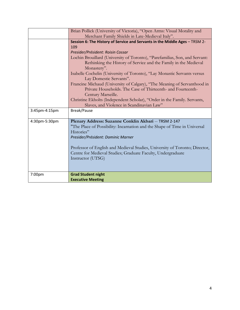|               | Brian Pollick (University of Victoria), "Open Arms: Visual Morality and<br>Merchant Family Shields in Late-Medieval Italy". |
|---------------|-----------------------------------------------------------------------------------------------------------------------------|
|               |                                                                                                                             |
|               | Session 6: The History of Service and Servants in the Middle Ages - TRSM 2-                                                 |
|               | 109                                                                                                                         |
|               | Presider/Président: Roisin Cossar                                                                                           |
|               | Lochin Brouillard (University of Toronto), "Parefamilias, Son, and Servant:                                                 |
|               | Rethinking the History of Service and the Family in the Medieval                                                            |
|               | Monastery".                                                                                                                 |
|               | Isabelle Cochelin (University of Toronto), "Lay Monastic Servants versus<br>Lay Domestic Servants".                         |
|               | Francine Michaud (University of Calgary), "The Meaning of Servanthood in                                                    |
|               | Private Households. The Case of Thirteenth- and Fourteenth-                                                                 |
|               | Century Marseille.                                                                                                          |
|               |                                                                                                                             |
|               | Christine Ekholts (Independent Scholar), "Order in the Family. Servants,                                                    |
|               | Slaves, and Violence in Scandinavian Law"                                                                                   |
| 3:45pm-4:15pm | Break/Pause                                                                                                                 |
|               |                                                                                                                             |
| 4:30pm-5:30pm | Plenary Address: Suzanne Conklin Akbari -- TRSM 2-147                                                                       |
|               | "The Place of Possibility: Incarnation and the Shape of Time in Universal                                                   |
|               | Histories"                                                                                                                  |
|               | Presider/Président: Dominic Marner                                                                                          |
|               | Professor of English and Medieval Studies, University of Toronto; Director,                                                 |
|               | Centre for Medieval Studies; Graduate Faculty, Undergraduate                                                                |
|               |                                                                                                                             |
|               | Instructor (UTSG)                                                                                                           |
|               |                                                                                                                             |
| 7:00pm        | <b>Grad Student night</b>                                                                                                   |
|               | <b>Executive Meeting</b>                                                                                                    |
|               |                                                                                                                             |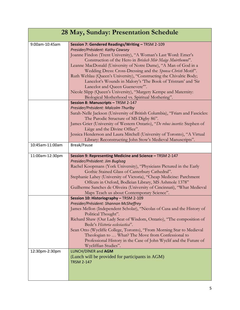| 28 May, Sunday: Presentation Schedule |                                                                                                                                                                                                                                                                                                                                                                                                                                                                                                                                                                                                                                                             |
|---------------------------------------|-------------------------------------------------------------------------------------------------------------------------------------------------------------------------------------------------------------------------------------------------------------------------------------------------------------------------------------------------------------------------------------------------------------------------------------------------------------------------------------------------------------------------------------------------------------------------------------------------------------------------------------------------------------|
| 9:00am-10:45am                        | Session 7: Gendered Readings/Writing - TRSM 2-109<br>Presider/Président: Kathy Cawsey<br>Joanne Findon (Trent University), "A Woman's Last Word: Emer's<br>Construction of the Hero in Brislech Mór Maige Muirthemni".<br>Leanne MacDonald (University of Notre Dame), "A Man of God in a<br>Wedding Dress: Cross-Dressing and the Sponsa Christi Motif".<br>Ruth Wehlau (Queen's University), "Constructing the Chivalric Body;<br>Lancelot's Wounds in Malory's 'The Book of Tristram' and 'Sir<br>Lancelot and Queen Guenevere"".<br>Nicole Slipp (Queen's University), "Margery Kempe and Maternity:<br>Biological Motherhood vs. Spiritual Mothering". |
| 10:45am-11:00am                       | Session 8: Manuscripts - TRSM 2-147<br>Presider/Président: Malcolm Thurlby<br>Sarah-Nelle Jackson (University of British Columbia), "Friars and Fascicles:<br>The Parodic Structure of MS Digby 86".<br>James Grier (University of Western Ontario), "De rebus incertis: Stephen of<br>Liège and the Divine Office".<br>Jessica Henderson and Laura Mitchell (University of Toronto), "A Virtual<br>Library: Reconstructing John Stow's Medieval Manuscripts".<br>Break/Pause                                                                                                                                                                               |
| 11:00am-12:30pm                       | Session 9: Representing Medicine and Science - TRSM 2-147                                                                                                                                                                                                                                                                                                                                                                                                                                                                                                                                                                                                   |
|                                       | Presider/Président: Jim Buglsag<br>Rachel Koopmans (York University), "Physicians Pictured in the Early<br>Gothic Stained Glass of Canterbury Cathedral".<br>Stephanie Lahey (University of Victoria), "Cheap Medicine: Parchment<br>Offcuts in Oxford, Bodleian Library, MS Ashmole 1378"<br>Guilherme Sanches de Oliveira (University of Cincinnati), "What Medieval<br>Maps Teach us about Contemporary Science".                                                                                                                                                                                                                                        |
|                                       | Session 10: Historiography - TRSM 2-109<br>Presider/Président: Shannon McSheffrey                                                                                                                                                                                                                                                                                                                                                                                                                                                                                                                                                                           |
|                                       | James Mellon (Independent Scholar), "Nicolas of Cusa and the History of<br>Political Thought".<br>Richard Shaw (Our Lady Seat of Wisdom, Ontario), "The composition of<br>Bede's Historia ecclesiastica".<br>Sean Otto (Wycliffe College, Toronto), "From Morning Star to Medieval<br>Theologian to  What? The Move from Confessional to<br>Professional History in the Case of John Wyclif and the Future of<br>Wycliffian Studies".                                                                                                                                                                                                                       |
| 12:30pm-2:30pm                        | LUNCH/DîNER and AGM<br>(Lunch will be provided for participants in AGM)<br><b>TRSM 2-147</b>                                                                                                                                                                                                                                                                                                                                                                                                                                                                                                                                                                |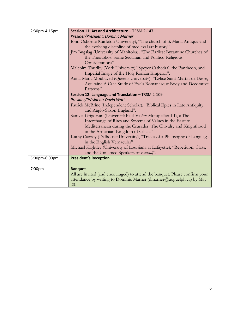| 2:30pm-4:15pm | Session 11: Art and Architecture - TRSM 2-147                                |
|---------------|------------------------------------------------------------------------------|
|               | Presider/Président: Dominic Marner                                           |
|               | John Osborne (Carleton University), "The church of S. Maria Antiqua and      |
|               | the evolving discipline of medieval art history".                            |
|               | Jim Bugslag (University of Manitoba), "The Earliest Byzantine Churches of    |
|               | the Theotokos: Some Sectarian and Politico-Religious                         |
|               | Considerations".                                                             |
|               | Malcolm Thurlby (York University),"Speyer Cathedral, the Pantheon, and       |
|               | Imperial Image of the Holy Roman Emperor".                                   |
|               | Anna-Maria Moubayed (Queens University), "Eglise Saint-Martin-de-Besse,      |
|               | Aquitaine A Case Study of Eve's Romanesque Body and Decorative               |
|               | Patterns".                                                                   |
|               | Session 12: Language and Translation - TRSM 2-109                            |
|               | Presider/Président: David Watt                                               |
|               | Patrick McBrine (Independent Scholar), "Biblical Epics in Late Antiquity     |
|               | and Anglo-Saxon England".                                                    |
|               | Samvel Grigoryan (Université Paul-Valéry Montpellier III), « The             |
|               | Interchange of Rites and Systems of Values in the Eastern                    |
|               | Mediterranean during the Crusades: The Chivalry and Knighthood               |
|               | in the Armenian Kingdom of Cilicia".                                         |
|               | Kathy Cawsey (Dalhousie University), "Traces of a Philosophy of Language     |
|               | in the English Vernacular"                                                   |
|               | Michael Kightley (University of Louisiana at Lafayette), "Repetition, Class, |
|               | and the Unnamed Speakers of Beowulf'.                                        |
| 5:00pm-6:00pm | <b>President's Reception</b>                                                 |
|               |                                                                              |
| 7:00pm        | <b>Banquet</b>                                                               |
|               | All are invited (and encouraged) to attend the banquet. Please confirm your  |
|               | attendance by writing to Dominic Marner (dmarner@uoguelph.ca) by May<br>20.  |
|               |                                                                              |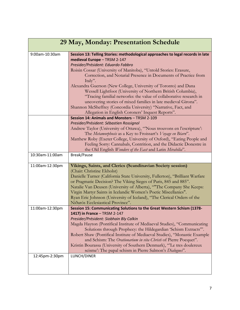| 29 May, Monday: Presentation Schedule |                                                                                                                                                                                                                                                                                                                                                                                                                                                                                                                                                                                                                                                                                                             |
|---------------------------------------|-------------------------------------------------------------------------------------------------------------------------------------------------------------------------------------------------------------------------------------------------------------------------------------------------------------------------------------------------------------------------------------------------------------------------------------------------------------------------------------------------------------------------------------------------------------------------------------------------------------------------------------------------------------------------------------------------------------|
| 9:00am-10:30am                        | Session 13: Telling Stories: methodological approaches to legal records in late<br>medieval Europe - TRSM 2-147<br>Presider/Président: Eduardo Fabbro<br>Roisin Cossar (University of Manitoba), "Untold Stories: Erasure,<br>Correction, and Notarial Presence in Documents of Practice from<br>Italy".<br>Alexandra Guerson (New College, University of Toronto) and Dana<br>Wessell Lightfoot (University of Northern British Columbia),<br>"Tracing familial networks: the value of collaborative research in<br>uncovering stories of mixed families in late medieval Girona".<br>Shannon McSheffrey (Concordia University) "Narrative, Fact, and<br>Allegation in English Coroners' Inquest Reports". |
| 10:30am-11:00am                       | Session 14: Animals and Monsters - TRSM 2-109<br>Presider/Président: Sébastien Rossignol<br>Andrew Taylor (University of Ottawa), "Nous trouvons en l'escripture':<br>The Metamorphosis as a Key to Froissart's Voyage en Béarn".<br>Matthew Roby (Exeter College, University of Oxford), "Eating People and<br>Feeling Sorry: Cannabals, Contrition, and the Didactic Donestre in<br>the Old English Wonders of the East and Latin Mirabilia".<br>Break/Pause                                                                                                                                                                                                                                              |
|                                       |                                                                                                                                                                                                                                                                                                                                                                                                                                                                                                                                                                                                                                                                                                             |
| 11:00am-12:30pm                       | Vikings, Saints, and Clerics (Scandinavian Society session)<br>(Chair: Christine Ekholst)<br>Danielle Turner (California State University, Fullerton), "Brilliant Warfare<br>or Pragmatic Decision? The Viking Sieges of Paris, 845 and 885".<br>Natalie Van Deusen (University of Alberta), "The Company She Keeps:<br>Virgin Martyr Saints in Icelandic Women's Poetic Miscellanies".<br>Ryan Eric Johnson (University of Iceland), "The Clerical Orders of the<br>Nidarós Ecclesiastical Province".                                                                                                                                                                                                      |
| 11:00am-12:30pm                       | Session 15: Communicating Solutions to the Great Western Schism (1378-                                                                                                                                                                                                                                                                                                                                                                                                                                                                                                                                                                                                                                      |
| 12:45pm-2:30pm                        | 1417) in France - TRSM 2-147<br>Presider/Président: Siobhain Bly Calkin<br>Magda Hayton (Pontifical Institute of Mediaeval Studies), "Communicating<br>Solutions through Prophecy: the Hildegardian 'Schism Extracts'".<br>Robert Shaw (Pontifical Institute of Mediaeval Studies), "Monastic Example<br>and Schism: The Orationarium in vita Christi of Pierre Pocquet".<br>Kristin Bourassa (University of Southern Denmark), "Le tres doulereux<br>scisme': The papal schism in Pierre Salmon's Dialogues".<br>LUNCH/DINER                                                                                                                                                                               |
|                                       |                                                                                                                                                                                                                                                                                                                                                                                                                                                                                                                                                                                                                                                                                                             |